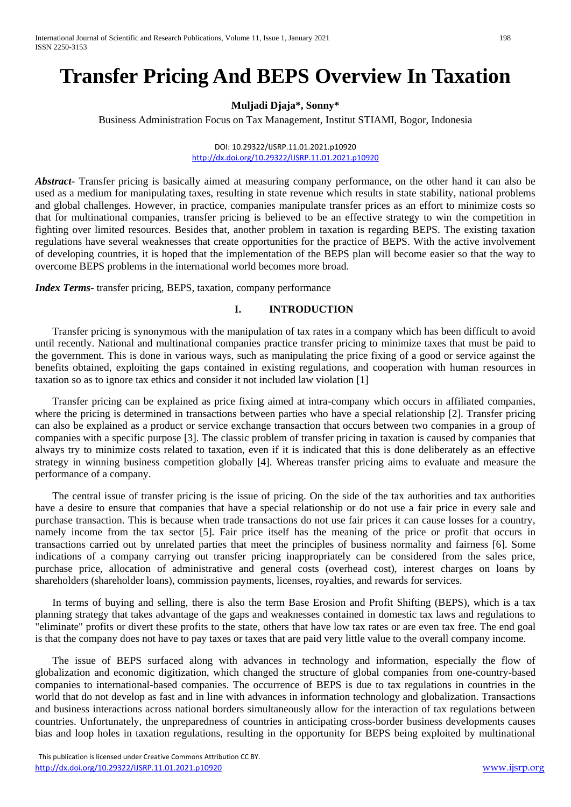# **Transfer Pricing And BEPS Overview In Taxation**

# **Muljadi Djaja\*, Sonny\***

Business Administration Focus on Tax Management, Institut STIAMI, Bogor, Indonesia

DOI: 10.29322/IJSRP.11.01.2021.p10920 <http://dx.doi.org/10.29322/IJSRP.11.01.2021.p10920>

*Abstract-* Transfer pricing is basically aimed at measuring company performance, on the other hand it can also be used as a medium for manipulating taxes, resulting in state revenue which results in state stability, national problems and global challenges. However, in practice, companies manipulate transfer prices as an effort to minimize costs so that for multinational companies, transfer pricing is believed to be an effective strategy to win the competition in fighting over limited resources. Besides that, another problem in taxation is regarding BEPS. The existing taxation regulations have several weaknesses that create opportunities for the practice of BEPS. With the active involvement of developing countries, it is hoped that the implementation of the BEPS plan will become easier so that the way to overcome BEPS problems in the international world becomes more broad.

*Index Terms-* transfer pricing, BEPS, taxation, company performance

# **I. INTRODUCTION**

Transfer pricing is synonymous with the manipulation of tax rates in a company which has been difficult to avoid until recently. National and multinational companies practice transfer pricing to minimize taxes that must be paid to the government. This is done in various ways, such as manipulating the price fixing of a good or service against the benefits obtained, exploiting the gaps contained in existing regulations, and cooperation with human resources in taxation so as to ignore tax ethics and consider it not included law violation [1]

Transfer pricing can be explained as price fixing aimed at intra-company which occurs in affiliated companies, where the pricing is determined in transactions between parties who have a special relationship [2]. Transfer pricing can also be explained as a product or service exchange transaction that occurs between two companies in a group of companies with a specific purpose [3]. The classic problem of transfer pricing in taxation is caused by companies that always try to minimize costs related to taxation, even if it is indicated that this is done deliberately as an effective strategy in winning business competition globally [4]. Whereas transfer pricing aims to evaluate and measure the performance of a company.

The central issue of transfer pricing is the issue of pricing. On the side of the tax authorities and tax authorities have a desire to ensure that companies that have a special relationship or do not use a fair price in every sale and purchase transaction. This is because when trade transactions do not use fair prices it can cause losses for a country, namely income from the tax sector [5]. Fair price itself has the meaning of the price or profit that occurs in transactions carried out by unrelated parties that meet the principles of business normality and fairness [6]. Some indications of a company carrying out transfer pricing inappropriately can be considered from the sales price, purchase price, allocation of administrative and general costs (overhead cost), interest charges on loans by shareholders (shareholder loans), commission payments, licenses, royalties, and rewards for services.

In terms of buying and selling, there is also the term Base Erosion and Profit Shifting (BEPS), which is a tax planning strategy that takes advantage of the gaps and weaknesses contained in domestic tax laws and regulations to "eliminate" profits or divert these profits to the state, others that have low tax rates or are even tax free. The end goal is that the company does not have to pay taxes or taxes that are paid very little value to the overall company income.

The issue of BEPS surfaced along with advances in technology and information, especially the flow of globalization and economic digitization, which changed the structure of global companies from one-country-based companies to international-based companies. The occurrence of BEPS is due to tax regulations in countries in the world that do not develop as fast and in line with advances in information technology and globalization. Transactions and business interactions across national borders simultaneously allow for the interaction of tax regulations between countries. Unfortunately, the unpreparedness of countries in anticipating cross-border business developments causes bias and loop holes in taxation regulations, resulting in the opportunity for BEPS being exploited by multinational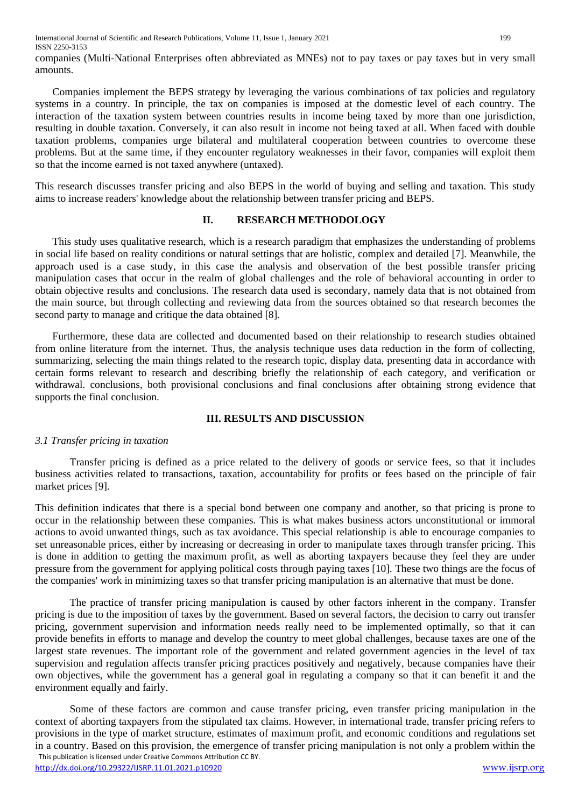companies (Multi-National Enterprises often abbreviated as MNEs) not to pay taxes or pay taxes but in very small amounts.

Companies implement the BEPS strategy by leveraging the various combinations of tax policies and regulatory systems in a country. In principle, the tax on companies is imposed at the domestic level of each country. The interaction of the taxation system between countries results in income being taxed by more than one jurisdiction, resulting in double taxation. Conversely, it can also result in income not being taxed at all. When faced with double taxation problems, companies urge bilateral and multilateral cooperation between countries to overcome these problems. But at the same time, if they encounter regulatory weaknesses in their favor, companies will exploit them so that the income earned is not taxed anywhere (untaxed).

This research discusses transfer pricing and also BEPS in the world of buying and selling and taxation. This study aims to increase readers' knowledge about the relationship between transfer pricing and BEPS.

#### **II. RESEARCH METHODOLOGY**

This study uses qualitative research, which is a research paradigm that emphasizes the understanding of problems in social life based on reality conditions or natural settings that are holistic, complex and detailed [7]. Meanwhile, the approach used is a case study, in this case the analysis and observation of the best possible transfer pricing manipulation cases that occur in the realm of global challenges and the role of behavioral accounting in order to obtain objective results and conclusions. The research data used is secondary, namely data that is not obtained from the main source, but through collecting and reviewing data from the sources obtained so that research becomes the second party to manage and critique the data obtained [8].

Furthermore, these data are collected and documented based on their relationship to research studies obtained from online literature from the internet. Thus, the analysis technique uses data reduction in the form of collecting, summarizing, selecting the main things related to the research topic, display data, presenting data in accordance with certain forms relevant to research and describing briefly the relationship of each category, and verification or withdrawal. conclusions, both provisional conclusions and final conclusions after obtaining strong evidence that supports the final conclusion.

### **III. RESULTS AND DISCUSSION**

### *3.1 Transfer pricing in taxation*

Transfer pricing is defined as a price related to the delivery of goods or service fees, so that it includes business activities related to transactions, taxation, accountability for profits or fees based on the principle of fair market prices [9].

This definition indicates that there is a special bond between one company and another, so that pricing is prone to occur in the relationship between these companies. This is what makes business actors unconstitutional or immoral actions to avoid unwanted things, such as tax avoidance. This special relationship is able to encourage companies to set unreasonable prices, either by increasing or decreasing in order to manipulate taxes through transfer pricing. This is done in addition to getting the maximum profit, as well as aborting taxpayers because they feel they are under pressure from the government for applying political costs through paying taxes [10]. These two things are the focus of the companies' work in minimizing taxes so that transfer pricing manipulation is an alternative that must be done.

The practice of transfer pricing manipulation is caused by other factors inherent in the company. Transfer pricing is due to the imposition of taxes by the government. Based on several factors, the decision to carry out transfer pricing, government supervision and information needs really need to be implemented optimally, so that it can provide benefits in efforts to manage and develop the country to meet global challenges, because taxes are one of the largest state revenues. The important role of the government and related government agencies in the level of tax supervision and regulation affects transfer pricing practices positively and negatively, because companies have their own objectives, while the government has a general goal in regulating a company so that it can benefit it and the environment equally and fairly.

 This publication is licensed under Creative Commons Attribution CC BY. <http://dx.doi.org/10.29322/IJSRP.11.01.2021.p10920> [www.ijsrp.org](http://ijsrp.org/) Some of these factors are common and cause transfer pricing, even transfer pricing manipulation in the context of aborting taxpayers from the stipulated tax claims. However, in international trade, transfer pricing refers to provisions in the type of market structure, estimates of maximum profit, and economic conditions and regulations set in a country. Based on this provision, the emergence of transfer pricing manipulation is not only a problem within the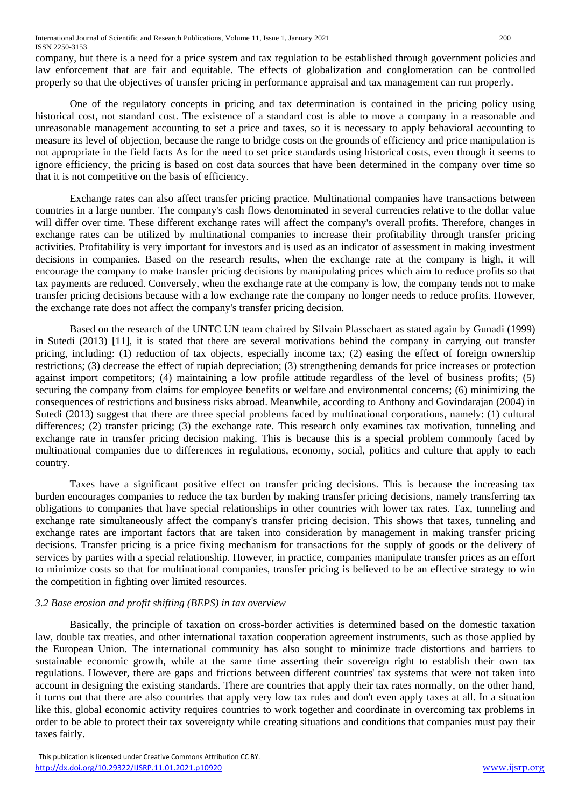company, but there is a need for a price system and tax regulation to be established through government policies and law enforcement that are fair and equitable. The effects of globalization and conglomeration can be controlled properly so that the objectives of transfer pricing in performance appraisal and tax management can run properly.

One of the regulatory concepts in pricing and tax determination is contained in the pricing policy using historical cost, not standard cost. The existence of a standard cost is able to move a company in a reasonable and unreasonable management accounting to set a price and taxes, so it is necessary to apply behavioral accounting to measure its level of objection, because the range to bridge costs on the grounds of efficiency and price manipulation is not appropriate in the field facts As for the need to set price standards using historical costs, even though it seems to ignore efficiency, the pricing is based on cost data sources that have been determined in the company over time so that it is not competitive on the basis of efficiency.

Exchange rates can also affect transfer pricing practice. Multinational companies have transactions between countries in a large number. The company's cash flows denominated in several currencies relative to the dollar value will differ over time. These different exchange rates will affect the company's overall profits. Therefore, changes in exchange rates can be utilized by multinational companies to increase their profitability through transfer pricing activities. Profitability is very important for investors and is used as an indicator of assessment in making investment decisions in companies. Based on the research results, when the exchange rate at the company is high, it will encourage the company to make transfer pricing decisions by manipulating prices which aim to reduce profits so that tax payments are reduced. Conversely, when the exchange rate at the company is low, the company tends not to make transfer pricing decisions because with a low exchange rate the company no longer needs to reduce profits. However, the exchange rate does not affect the company's transfer pricing decision.

Based on the research of the UNTC UN team chaired by Silvain Plasschaert as stated again by Gunadi (1999) in Sutedi (2013) [11], it is stated that there are several motivations behind the company in carrying out transfer pricing, including: (1) reduction of tax objects, especially income tax; (2) easing the effect of foreign ownership restrictions; (3) decrease the effect of rupiah depreciation; (3) strengthening demands for price increases or protection against import competitors; (4) maintaining a low profile attitude regardless of the level of business profits; (5) securing the company from claims for employee benefits or welfare and environmental concerns; (6) minimizing the consequences of restrictions and business risks abroad. Meanwhile, according to Anthony and Govindarajan (2004) in Sutedi (2013) suggest that there are three special problems faced by multinational corporations, namely: (1) cultural differences; (2) transfer pricing; (3) the exchange rate. This research only examines tax motivation, tunneling and exchange rate in transfer pricing decision making. This is because this is a special problem commonly faced by multinational companies due to differences in regulations, economy, social, politics and culture that apply to each country.

Taxes have a significant positive effect on transfer pricing decisions. This is because the increasing tax burden encourages companies to reduce the tax burden by making transfer pricing decisions, namely transferring tax obligations to companies that have special relationships in other countries with lower tax rates. Tax, tunneling and exchange rate simultaneously affect the company's transfer pricing decision. This shows that taxes, tunneling and exchange rates are important factors that are taken into consideration by management in making transfer pricing decisions. Transfer pricing is a price fixing mechanism for transactions for the supply of goods or the delivery of services by parties with a special relationship. However, in practice, companies manipulate transfer prices as an effort to minimize costs so that for multinational companies, transfer pricing is believed to be an effective strategy to win the competition in fighting over limited resources.

## *3.2 Base erosion and profit shifting (BEPS) in tax overview*

Basically, the principle of taxation on cross-border activities is determined based on the domestic taxation law, double tax treaties, and other international taxation cooperation agreement instruments, such as those applied by the European Union. The international community has also sought to minimize trade distortions and barriers to sustainable economic growth, while at the same time asserting their sovereign right to establish their own tax regulations. However, there are gaps and frictions between different countries' tax systems that were not taken into account in designing the existing standards. There are countries that apply their tax rates normally, on the other hand, it turns out that there are also countries that apply very low tax rules and don't even apply taxes at all. In a situation like this, global economic activity requires countries to work together and coordinate in overcoming tax problems in order to be able to protect their tax sovereignty while creating situations and conditions that companies must pay their taxes fairly.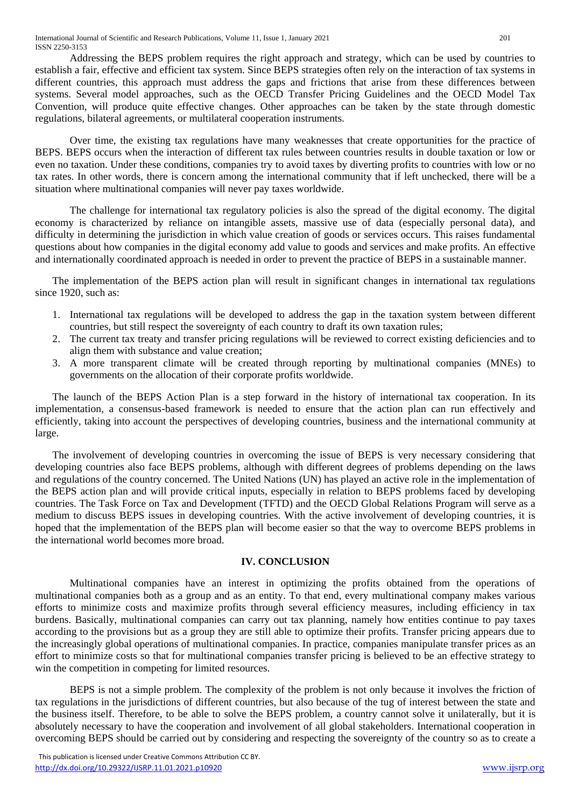Addressing the BEPS problem requires the right approach and strategy, which can be used by countries to establish a fair, effective and efficient tax system. Since BEPS strategies often rely on the interaction of tax systems in different countries, this approach must address the gaps and frictions that arise from these differences between systems. Several model approaches, such as the OECD Transfer Pricing Guidelines and the OECD Model Tax Convention, will produce quite effective changes. Other approaches can be taken by the state through domestic regulations, bilateral agreements, or multilateral cooperation instruments.

Over time, the existing tax regulations have many weaknesses that create opportunities for the practice of BEPS. BEPS occurs when the interaction of different tax rules between countries results in double taxation or low or even no taxation. Under these conditions, companies try to avoid taxes by diverting profits to countries with low or no tax rates. In other words, there is concern among the international community that if left unchecked, there will be a situation where multinational companies will never pay taxes worldwide.

The challenge for international tax regulatory policies is also the spread of the digital economy. The digital economy is characterized by reliance on intangible assets, massive use of data (especially personal data), and difficulty in determining the jurisdiction in which value creation of goods or services occurs. This raises fundamental questions about how companies in the digital economy add value to goods and services and make profits. An effective and internationally coordinated approach is needed in order to prevent the practice of BEPS in a sustainable manner.

The implementation of the BEPS action plan will result in significant changes in international tax regulations since 1920, such as:

- 1. International tax regulations will be developed to address the gap in the taxation system between different countries, but still respect the sovereignty of each country to draft its own taxation rules;
- 2. The current tax treaty and transfer pricing regulations will be reviewed to correct existing deficiencies and to align them with substance and value creation;
- 3. A more transparent climate will be created through reporting by multinational companies (MNEs) to governments on the allocation of their corporate profits worldwide.

The launch of the BEPS Action Plan is a step forward in the history of international tax cooperation. In its implementation, a consensus-based framework is needed to ensure that the action plan can run effectively and efficiently, taking into account the perspectives of developing countries, business and the international community at large.

The involvement of developing countries in overcoming the issue of BEPS is very necessary considering that developing countries also face BEPS problems, although with different degrees of problems depending on the laws and regulations of the country concerned. The United Nations (UN) has played an active role in the implementation of the BEPS action plan and will provide critical inputs, especially in relation to BEPS problems faced by developing countries. The Task Force on Tax and Development (TFTD) and the OECD Global Relations Program will serve as a medium to discuss BEPS issues in developing countries. With the active involvement of developing countries, it is hoped that the implementation of the BEPS plan will become easier so that the way to overcome BEPS problems in the international world becomes more broad.

## **IV. CONCLUSION**

Multinational companies have an interest in optimizing the profits obtained from the operations of multinational companies both as a group and as an entity. To that end, every multinational company makes various efforts to minimize costs and maximize profits through several efficiency measures, including efficiency in tax burdens. Basically, multinational companies can carry out tax planning, namely how entities continue to pay taxes according to the provisions but as a group they are still able to optimize their profits. Transfer pricing appears due to the increasingly global operations of multinational companies. In practice, companies manipulate transfer prices as an effort to minimize costs so that for multinational companies transfer pricing is believed to be an effective strategy to win the competition in competing for limited resources.

BEPS is not a simple problem. The complexity of the problem is not only because it involves the friction of tax regulations in the jurisdictions of different countries, but also because of the tug of interest between the state and the business itself. Therefore, to be able to solve the BEPS problem, a country cannot solve it unilaterally, but it is absolutely necessary to have the cooperation and involvement of all global stakeholders. International cooperation in overcoming BEPS should be carried out by considering and respecting the sovereignty of the country so as to create a